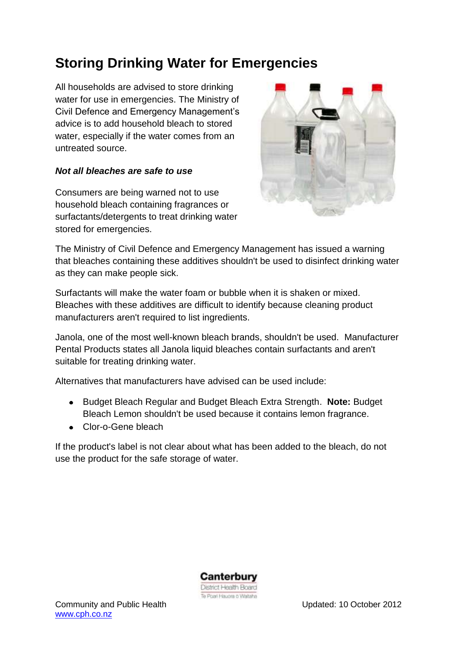## **Storing Drinking Water for Emergencies**

All households are advised to store drinking water for use in emergencies. The Ministry of Civil Defence and Emergency Management's advice is to add household bleach to stored water, especially if the water comes from an untreated source.

## *Not all bleaches are safe to use*

Consumers are being warned not to use household bleach containing fragrances or surfactants/detergents to treat drinking water stored for emergencies.



The Ministry of Civil Defence and Emergency Management has issued a warning that bleaches containing these additives shouldn't be used to disinfect drinking water as they can make people sick.

Surfactants will make the water foam or bubble when it is shaken or mixed. Bleaches with these additives are difficult to identify because cleaning product manufacturers aren't required to list ingredients.

Janola, one of the most well-known bleach brands, shouldn't be used. Manufacturer Pental Products states all Janola liquid bleaches contain surfactants and aren't suitable for treating drinking water.

Alternatives that manufacturers have advised can be used include:

- Budget Bleach Regular and Budget Bleach Extra Strength. **Note:** Budget  $\bullet$ Bleach Lemon shouldn't be used because it contains lemon fragrance.
- Clor-o-Gene bleach

If the product's label is not clear about what has been added to the bleach, do not use the product for the safe storage of water.